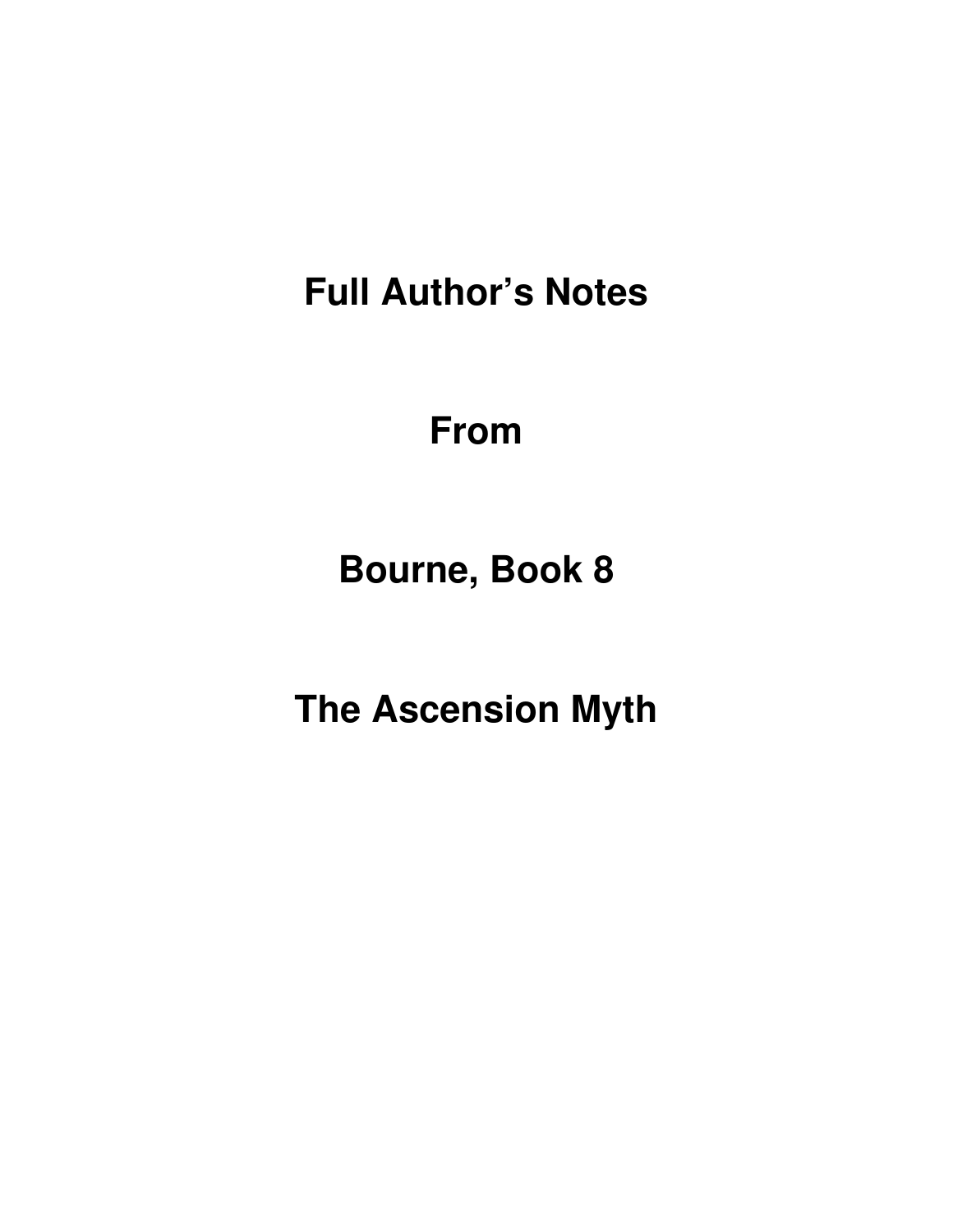**Full Author's Notes** 

**From**

**Bourne, Book 8** 

**The Ascension Myth**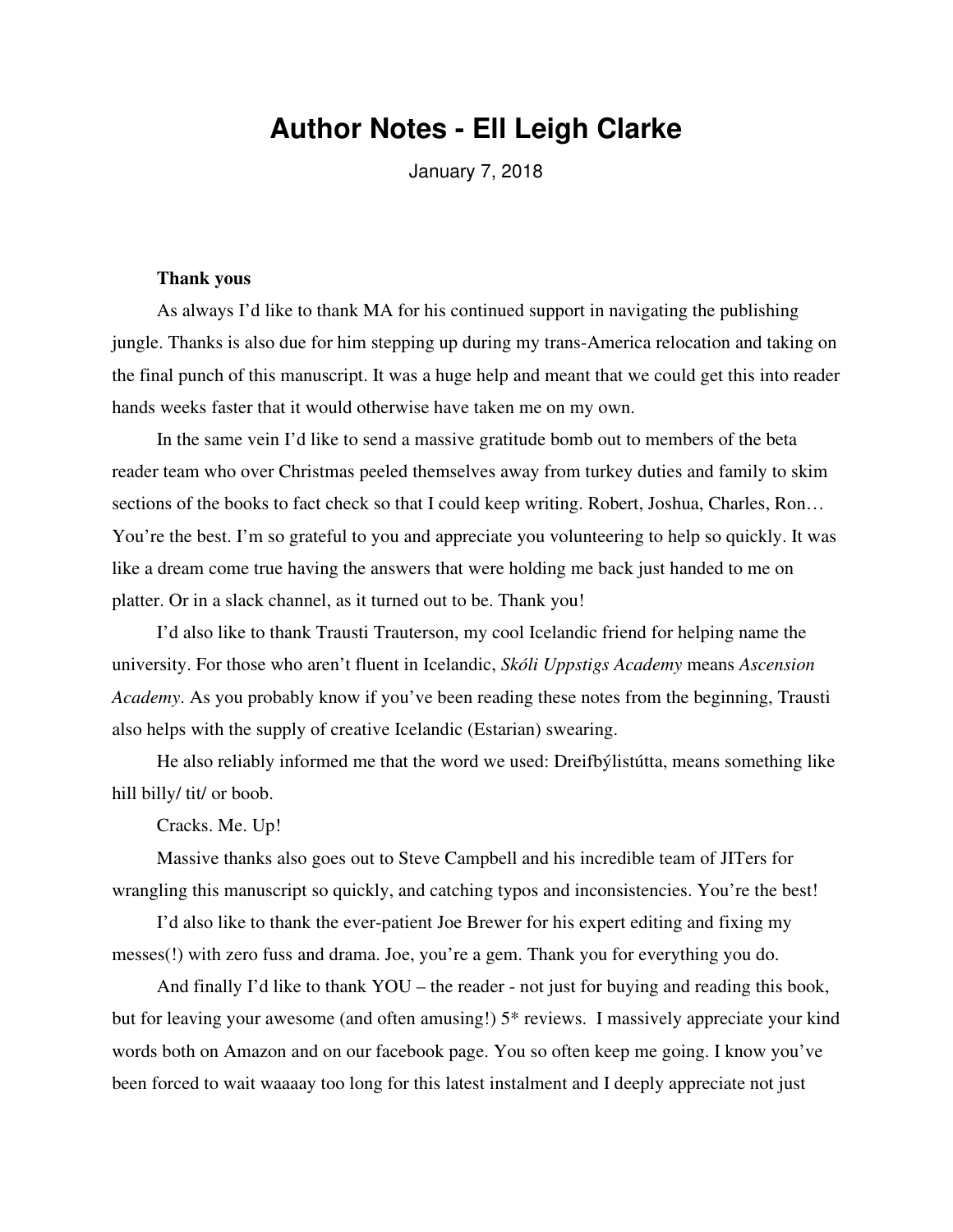# **Author Notes - Ell Leigh Clarke**

January 7, 2018

#### **Thank yous**

As always I'd like to thank MA for his continued support in navigating the publishing jungle. Thanks is also due for him stepping up during my trans-America relocation and taking on the final punch of this manuscript. It was a huge help and meant that we could get this into reader hands weeks faster that it would otherwise have taken me on my own.

In the same vein I'd like to send a massive gratitude bomb out to members of the beta reader team who over Christmas peeled themselves away from turkey duties and family to skim sections of the books to fact check so that I could keep writing. Robert, Joshua, Charles, Ron... You're the best. I'm so grateful to you and appreciate you volunteering to help so quickly. It was like a dream come true having the answers that were holding me back just handed to me on platter. Or in a slack channel, as it turned out to be. Thank you!

I'd also like to thank Trausti Trauterson, my cool Icelandic friend for helping name the university. For those who aren't fluent in Icelandic, *Skóli Uppstigs Academy* means *Ascension Academy*. As you probably know if you've been reading these notes from the beginning, Trausti also helps with the supply of creative Icelandic (Estarian) swearing.

He also reliably informed me that the word we used: Dreifbýlistútta, means something like hill billy/ tit/ or boob.

Cracks. Me. Up!

Massive thanks also goes out to Steve Campbell and his incredible team of JITers for wrangling this manuscript so quickly, and catching typos and inconsistencies. You're the best!

I'd also like to thank the ever-patient Joe Brewer for his expert editing and fixing my messes(!) with zero fuss and drama. Joe, you're a gem. Thank you for everything you do.

And finally I'd like to thank YOU – the reader - not just for buying and reading this book, but for leaving your awesome (and often amusing!) 5\* reviews. I massively appreciate your kind words both on Amazon and on our facebook page. You so often keep me going. I know you've been forced to wait waaaay too long for this latest instalment and I deeply appreciate not just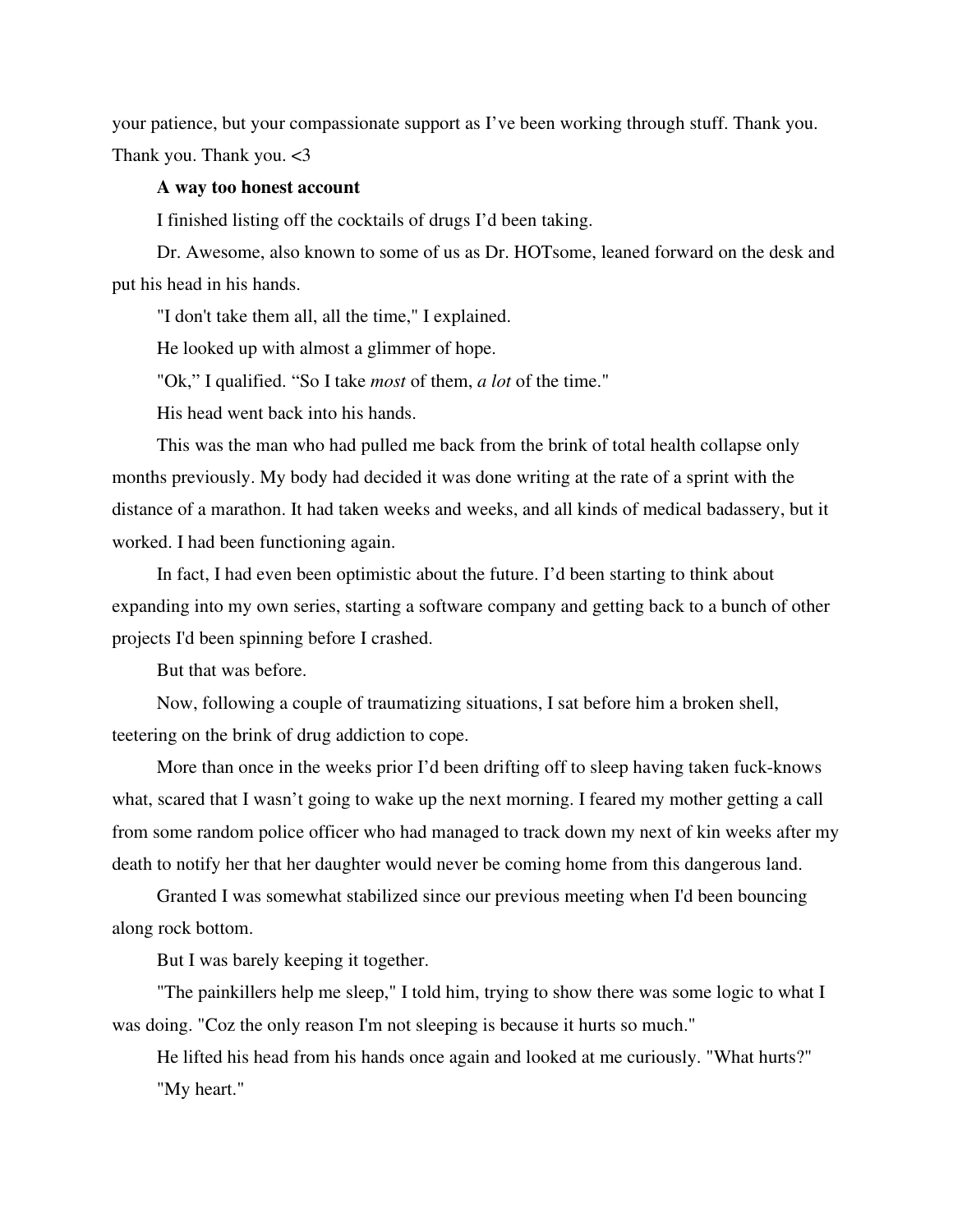your patience, but your compassionate support as I've been working through stuff. Thank you. Thank you. Thank you. <3

### **A way too honest account**

I finished listing off the cocktails of drugs I'd been taking.

Dr. Awesome, also known to some of us as Dr. HOTsome, leaned forward on the desk and put his head in his hands.

"I don't take them all, all the time," I explained.

He looked up with almost a glimmer of hope.

"Ok," I qualified. "So I take *most* of them, *a lot* of the time."

His head went back into his hands.

This was the man who had pulled me back from the brink of total health collapse only months previously. My body had decided it was done writing at the rate of a sprint with the distance of a marathon. It had taken weeks and weeks, and all kinds of medical badassery, but it worked. I had been functioning again.

In fact, I had even been optimistic about the future. I'd been starting to think about expanding into my own series, starting a software company and getting back to a bunch of other projects I'd been spinning before I crashed.

But that was before.

Now, following a couple of traumatizing situations, I sat before him a broken shell, teetering on the brink of drug addiction to cope.

More than once in the weeks prior I'd been drifting off to sleep having taken fuck-knows what, scared that I wasn't going to wake up the next morning. I feared my mother getting a call from some random police officer who had managed to track down my next of kin weeks after my death to notify her that her daughter would never be coming home from this dangerous land.

Granted I was somewhat stabilized since our previous meeting when I'd been bouncing along rock bottom.

But I was barely keeping it together.

"The painkillers help me sleep," I told him, trying to show there was some logic to what I was doing. "Coz the only reason I'm not sleeping is because it hurts so much."

He lifted his head from his hands once again and looked at me curiously. "What hurts?" "My heart."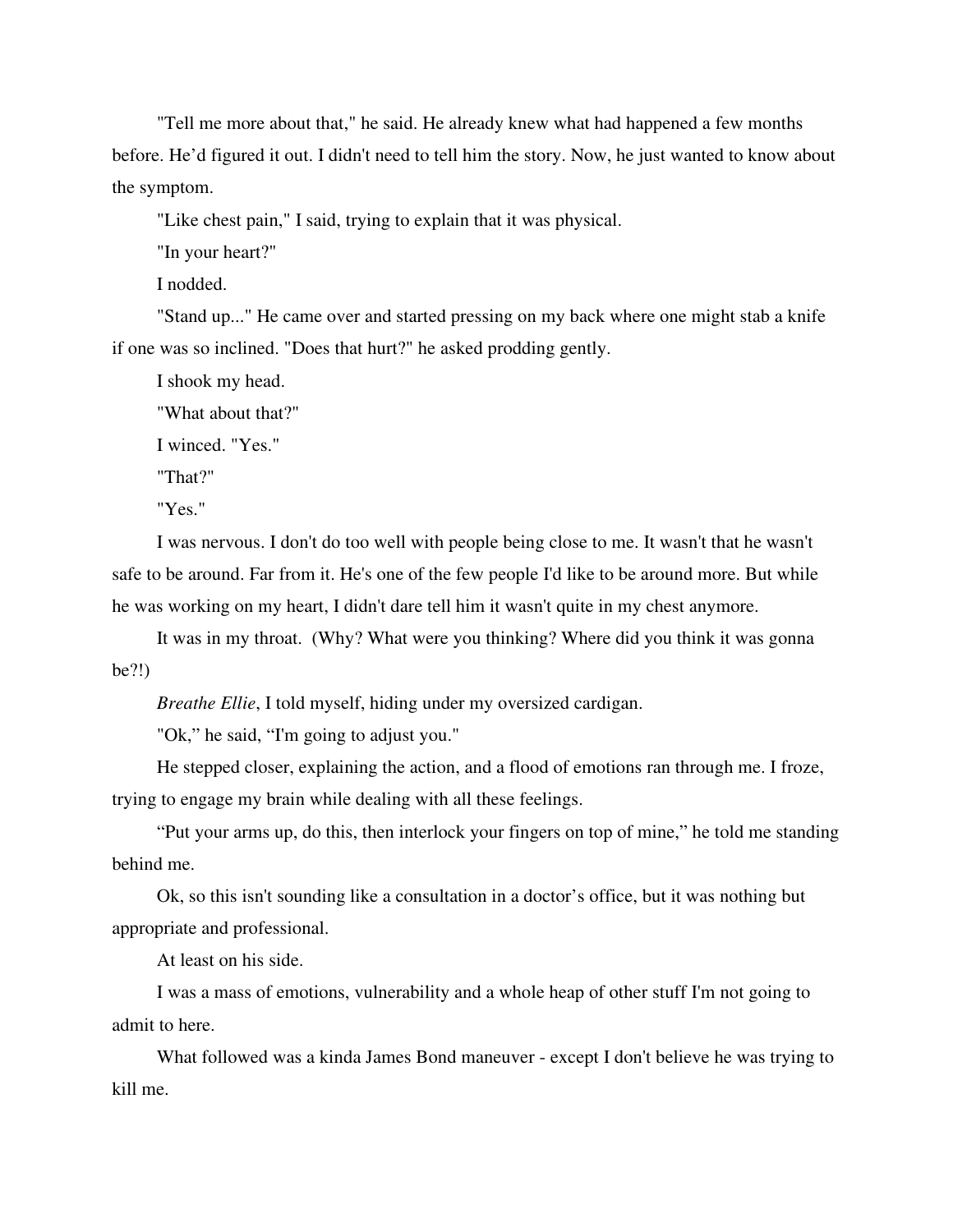"Tell me more about that," he said. He already knew what had happened a few months before. He'd figured it out. I didn't need to tell him the story. Now, he just wanted to know about the symptom.

"Like chest pain," I said, trying to explain that it was physical.

"In your heart?"

I nodded.

"Stand up..." He came over and started pressing on my back where one might stab a knife if one was so inclined. "Does that hurt?" he asked prodding gently.

I shook my head.

"What about that?"

I winced. "Yes."

"That?"

"Yes."

I was nervous. I don't do too well with people being close to me. It wasn't that he wasn't safe to be around. Far from it. He's one of the few people I'd like to be around more. But while he was working on my heart, I didn't dare tell him it wasn't quite in my chest anymore.

It was in my throat. (Why? What were you thinking? Where did you think it was gonna be?!)

*Breathe Ellie*, I told myself, hiding under my oversized cardigan.

"Ok," he said, "I'm going to adjust you."

He stepped closer, explaining the action, and a flood of emotions ran through me. I froze, trying to engage my brain while dealing with all these feelings.

"Put your arms up, do this, then interlock your fingers on top of mine," he told me standing behind me.

Ok, so this isn't sounding like a consultation in a doctor's office, but it was nothing but appropriate and professional.

At least on his side.

I was a mass of emotions, vulnerability and a whole heap of other stuff I'm not going to admit to here.

What followed was a kinda James Bond maneuver - except I don't believe he was trying to kill me.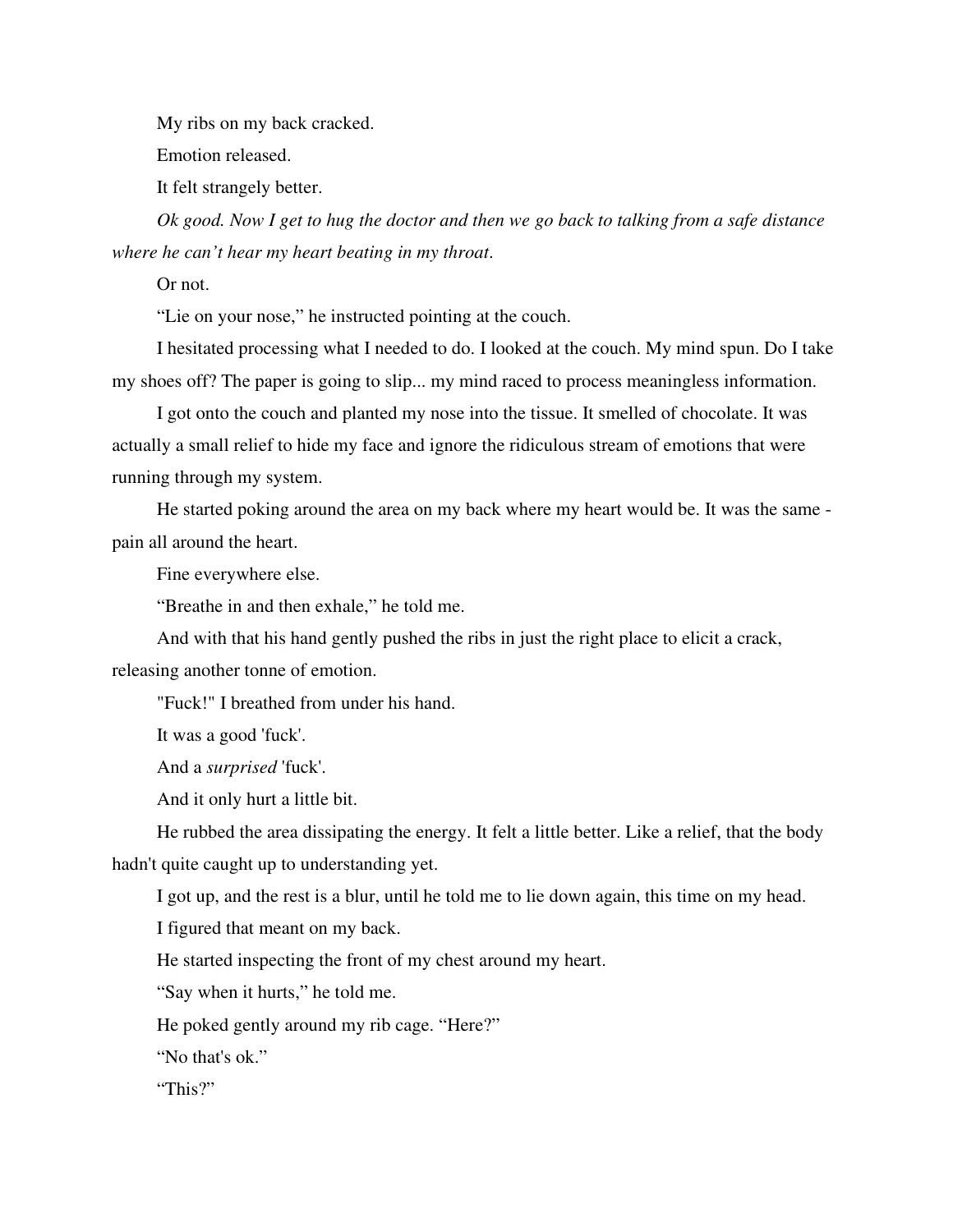My ribs on my back cracked.

Emotion released.

It felt strangely better.

*Ok good. Now I get to hug the doctor and then we go back to talking from a safe distance where he can't hear my heart beating in my throat*.

Or not.

"Lie on your nose," he instructed pointing at the couch.

I hesitated processing what I needed to do. I looked at the couch. My mind spun. Do I take my shoes off? The paper is going to slip... my mind raced to process meaningless information.

I got onto the couch and planted my nose into the tissue. It smelled of chocolate. It was actually a small relief to hide my face and ignore the ridiculous stream of emotions that were running through my system.

He started poking around the area on my back where my heart would be. It was the same pain all around the heart.

Fine everywhere else.

"Breathe in and then exhale," he told me.

And with that his hand gently pushed the ribs in just the right place to elicit a crack,

releasing another tonne of emotion.

"Fuck!" I breathed from under his hand.

It was a good 'fuck'.

And a *surprised* 'fuck'.

And it only hurt a little bit.

He rubbed the area dissipating the energy. It felt a little better. Like a relief, that the body hadn't quite caught up to understanding yet.

I got up, and the rest is a blur, until he told me to lie down again, this time on my head.

I figured that meant on my back.

He started inspecting the front of my chest around my heart.

"Say when it hurts," he told me.

He poked gently around my rib cage. "Here?"

"No that's ok."

"This?"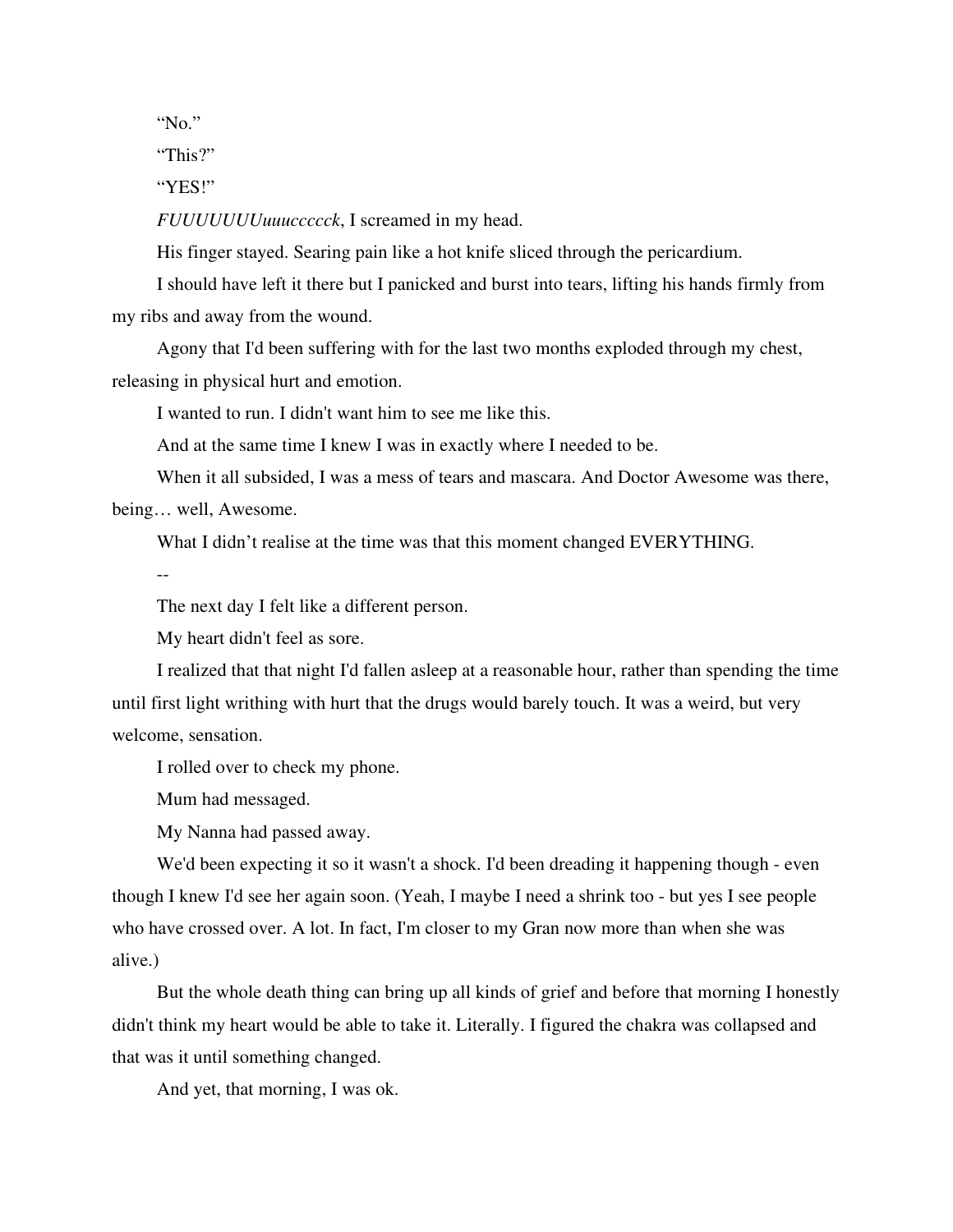"No."

"This?"

"YES!"

*FUUUUUUUuuuccccck*, I screamed in my head.

His finger stayed. Searing pain like a hot knife sliced through the pericardium.

I should have left it there but I panicked and burst into tears, lifting his hands firmly from my ribs and away from the wound.

Agony that I'd been suffering with for the last two months exploded through my chest, releasing in physical hurt and emotion.

I wanted to run. I didn't want him to see me like this.

And at the same time I knew I was in exactly where I needed to be.

When it all subsided, I was a mess of tears and mascara. And Doctor Awesome was there, being… well, Awesome.

What I didn't realise at the time was that this moment changed EVERYTHING.

--

The next day I felt like a different person.

My heart didn't feel as sore.

I realized that that night I'd fallen asleep at a reasonable hour, rather than spending the time until first light writhing with hurt that the drugs would barely touch. It was a weird, but very welcome, sensation.

I rolled over to check my phone.

Mum had messaged.

My Nanna had passed away.

We'd been expecting it so it wasn't a shock. I'd been dreading it happening though - even though I knew I'd see her again soon. (Yeah, I maybe I need a shrink too - but yes I see people who have crossed over. A lot. In fact, I'm closer to my Gran now more than when she was alive.)

But the whole death thing can bring up all kinds of grief and before that morning I honestly didn't think my heart would be able to take it. Literally. I figured the chakra was collapsed and that was it until something changed.

And yet, that morning, I was ok.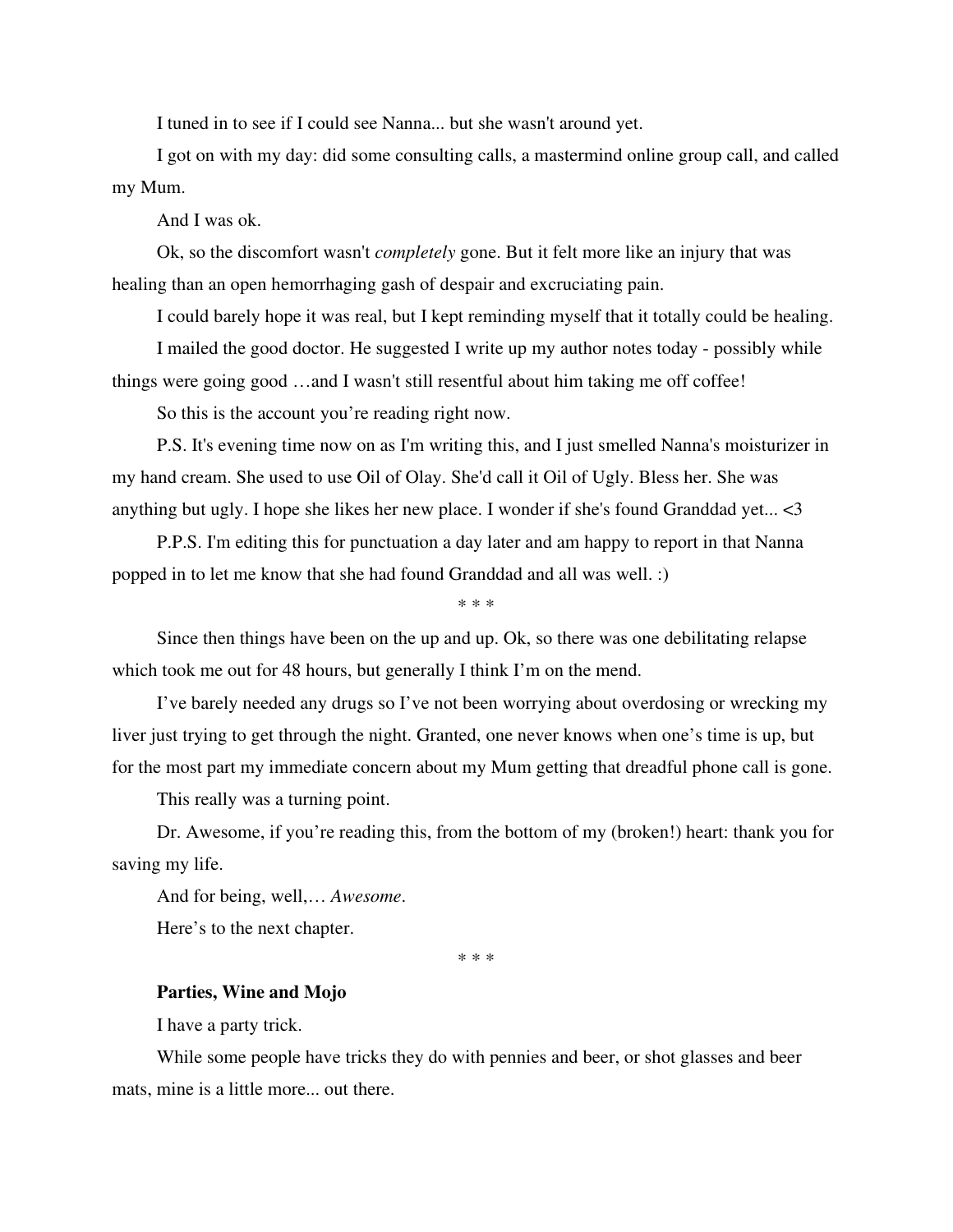I tuned in to see if I could see Nanna... but she wasn't around yet.

I got on with my day: did some consulting calls, a mastermind online group call, and called my Mum.

And I was ok.

Ok, so the discomfort wasn't *completely* gone. But it felt more like an injury that was healing than an open hemorrhaging gash of despair and excruciating pain.

I could barely hope it was real, but I kept reminding myself that it totally could be healing.

I mailed the good doctor. He suggested I write up my author notes today - possibly while things were going good …and I wasn't still resentful about him taking me off coffee!

So this is the account you're reading right now.

P.S. It's evening time now on as I'm writing this, and I just smelled Nanna's moisturizer in my hand cream. She used to use Oil of Olay. She'd call it Oil of Ugly. Bless her. She was anything but ugly. I hope she likes her new place. I wonder if she's found Granddad yet... <3

P.P.S. I'm editing this for punctuation a day later and am happy to report in that Nanna popped in to let me know that she had found Granddad and all was well. :)

\* \* \*

Since then things have been on the up and up. Ok, so there was one debilitating relapse which took me out for 48 hours, but generally I think I'm on the mend.

I've barely needed any drugs so I've not been worrying about overdosing or wrecking my liver just trying to get through the night. Granted, one never knows when one's time is up, but for the most part my immediate concern about my Mum getting that dreadful phone call is gone.

This really was a turning point.

Dr. Awesome, if you're reading this, from the bottom of my (broken!) heart: thank you for saving my life.

And for being, well,… *Awesome*.

Here's to the next chapter.

\* \* \*

#### **Parties, Wine and Mojo**

I have a party trick.

While some people have tricks they do with pennies and beer, or shot glasses and beer mats, mine is a little more... out there.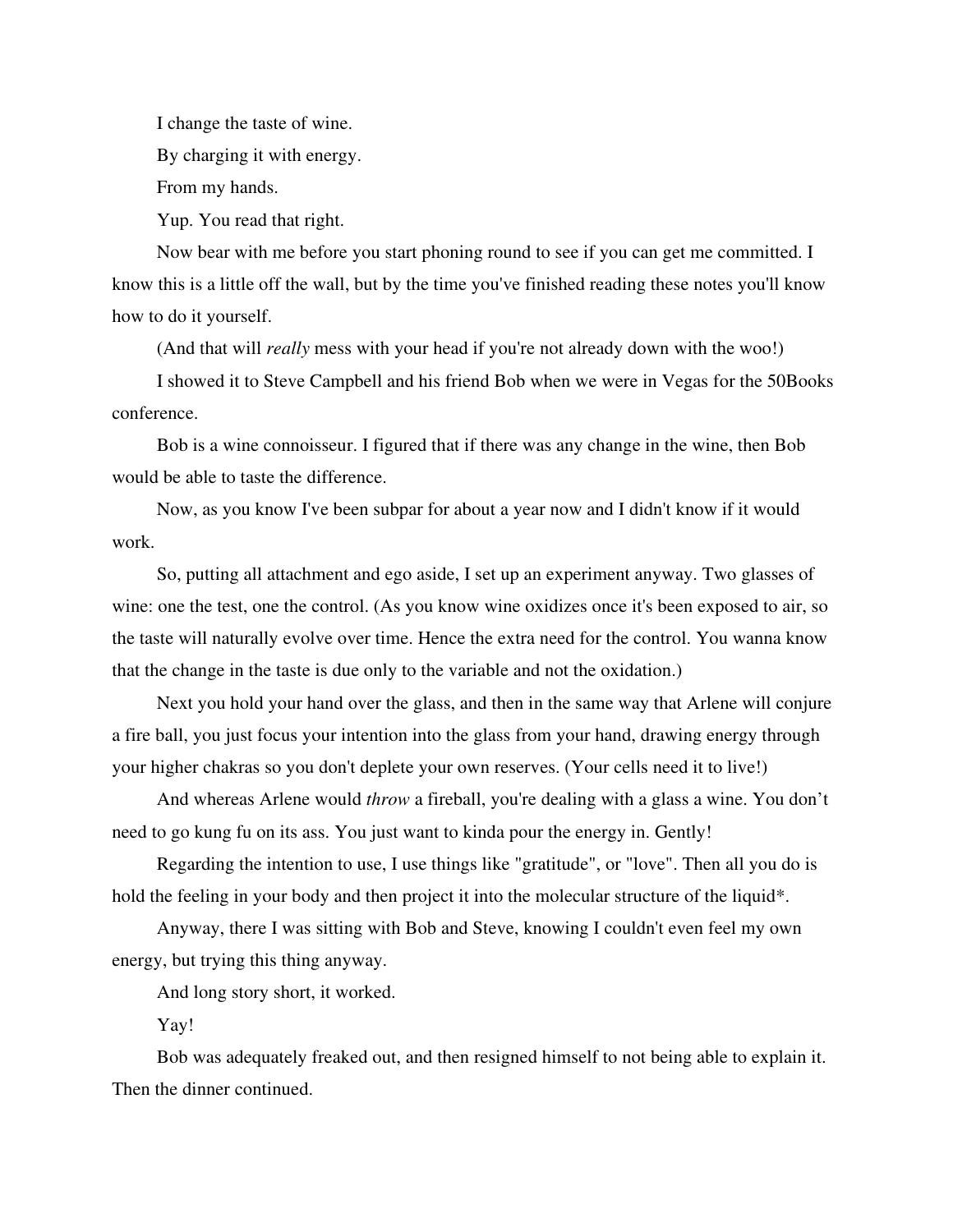I change the taste of wine.

By charging it with energy.

From my hands.

Yup. You read that right.

Now bear with me before you start phoning round to see if you can get me committed. I know this is a little off the wall, but by the time you've finished reading these notes you'll know how to do it yourself.

(And that will *really* mess with your head if you're not already down with the woo!)

I showed it to Steve Campbell and his friend Bob when we were in Vegas for the 50Books conference.

Bob is a wine connoisseur. I figured that if there was any change in the wine, then Bob would be able to taste the difference.

Now, as you know I've been subpar for about a year now and I didn't know if it would work.

So, putting all attachment and ego aside, I set up an experiment anyway. Two glasses of wine: one the test, one the control. (As you know wine oxidizes once it's been exposed to air, so the taste will naturally evolve over time. Hence the extra need for the control. You wanna know that the change in the taste is due only to the variable and not the oxidation.)

Next you hold your hand over the glass, and then in the same way that Arlene will conjure a fire ball, you just focus your intention into the glass from your hand, drawing energy through your higher chakras so you don't deplete your own reserves. (Your cells need it to live!)

And whereas Arlene would *throw* a fireball, you're dealing with a glass a wine. You don't need to go kung fu on its ass. You just want to kinda pour the energy in. Gently!

Regarding the intention to use, I use things like "gratitude", or "love". Then all you do is hold the feeling in your body and then project it into the molecular structure of the liquid\*.

Anyway, there I was sitting with Bob and Steve, knowing I couldn't even feel my own energy, but trying this thing anyway.

And long story short, it worked.

Yay!

Bob was adequately freaked out, and then resigned himself to not being able to explain it. Then the dinner continued.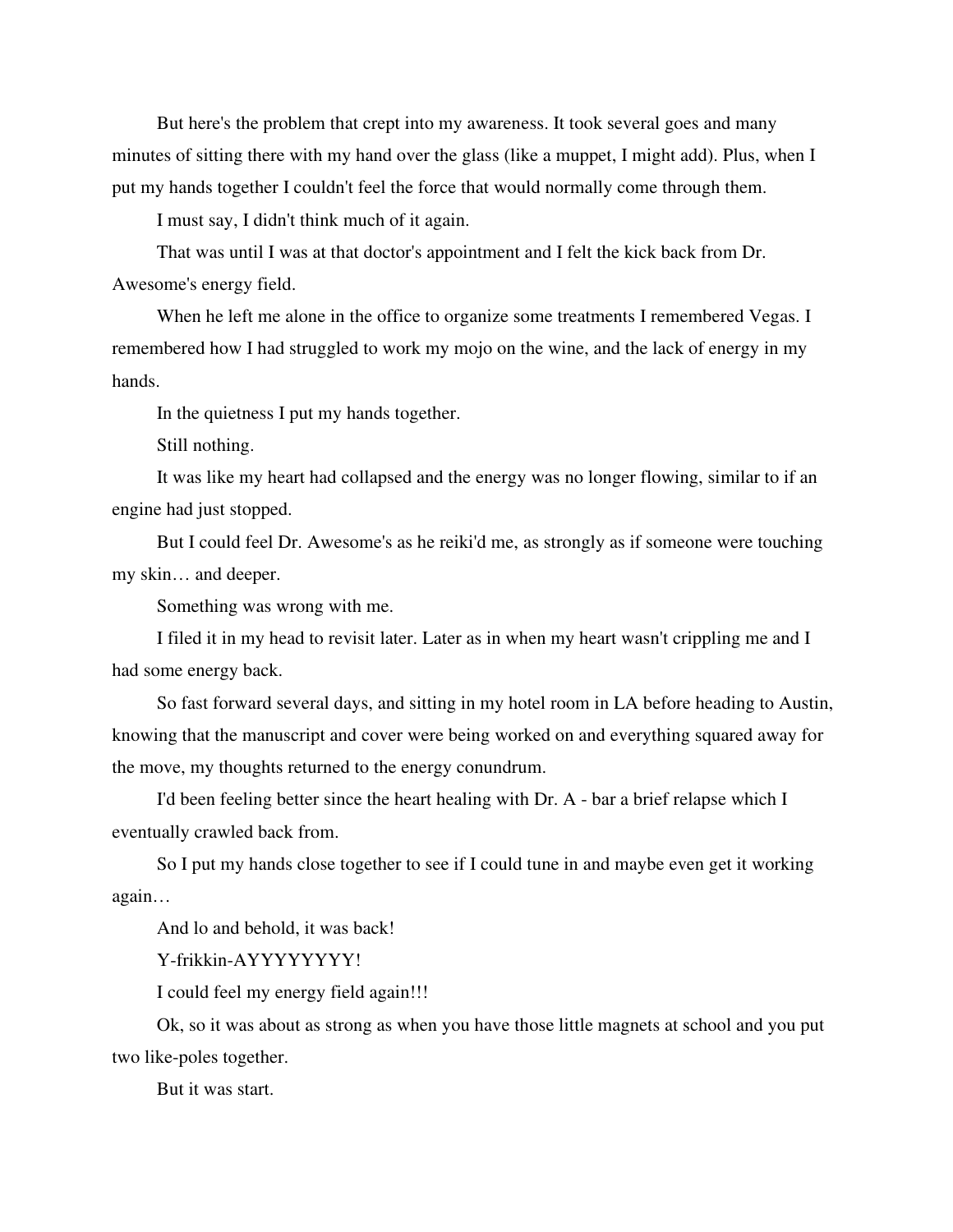But here's the problem that crept into my awareness. It took several goes and many minutes of sitting there with my hand over the glass (like a muppet, I might add). Plus, when I put my hands together I couldn't feel the force that would normally come through them.

I must say, I didn't think much of it again.

That was until I was at that doctor's appointment and I felt the kick back from Dr. Awesome's energy field.

When he left me alone in the office to organize some treatments I remembered Vegas. I remembered how I had struggled to work my mojo on the wine, and the lack of energy in my hands.

In the quietness I put my hands together.

Still nothing.

It was like my heart had collapsed and the energy was no longer flowing, similar to if an engine had just stopped.

But I could feel Dr. Awesome's as he reiki'd me, as strongly as if someone were touching my skin… and deeper.

Something was wrong with me.

I filed it in my head to revisit later. Later as in when my heart wasn't crippling me and I had some energy back.

So fast forward several days, and sitting in my hotel room in LA before heading to Austin, knowing that the manuscript and cover were being worked on and everything squared away for the move, my thoughts returned to the energy conundrum.

I'd been feeling better since the heart healing with Dr. A - bar a brief relapse which I eventually crawled back from.

So I put my hands close together to see if I could tune in and maybe even get it working again…

And lo and behold, it was back!

Y-frikkin-AYYYYYYYY!

I could feel my energy field again!!!

Ok, so it was about as strong as when you have those little magnets at school and you put two like-poles together.

But it was start.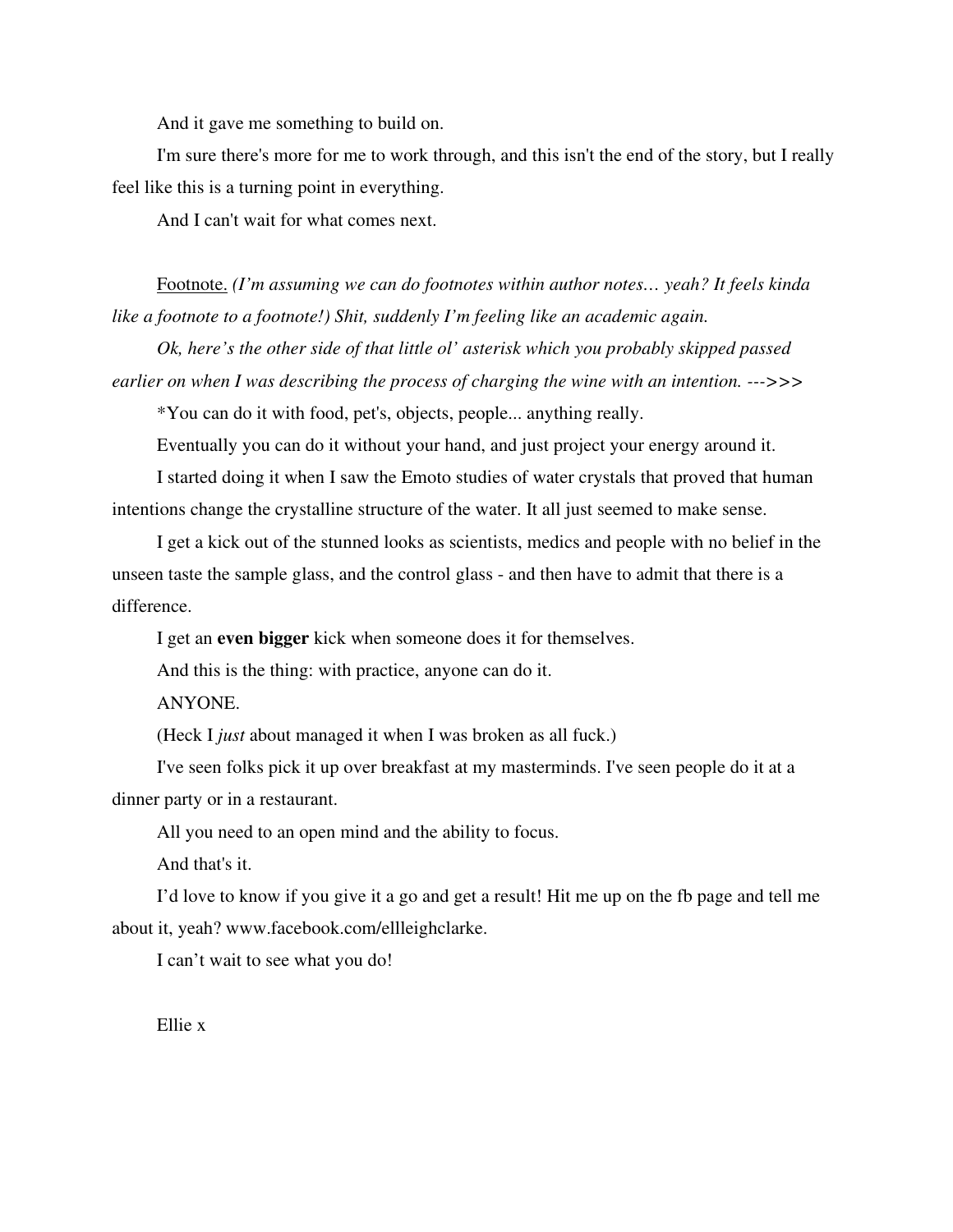And it gave me something to build on.

I'm sure there's more for me to work through, and this isn't the end of the story, but I really feel like this is a turning point in everything.

And I can't wait for what comes next.

Footnote. *(I'm assuming we can do footnotes within author notes… yeah? It feels kinda like a footnote to a footnote!) Shit, suddenly I'm feeling like an academic again.*

*Ok, here's the other side of that little ol' asterisk which you probably skipped passed earlier on when I was describing the process of charging the wine with an intention. --->>>* 

\*You can do it with food, pet's, objects, people... anything really.

Eventually you can do it without your hand, and just project your energy around it.

I started doing it when I saw the Emoto studies of water crystals that proved that human intentions change the crystalline structure of the water. It all just seemed to make sense.

I get a kick out of the stunned looks as scientists, medics and people with no belief in the unseen taste the sample glass, and the control glass - and then have to admit that there is a difference.

I get an **even bigger** kick when someone does it for themselves.

And this is the thing: with practice, anyone can do it.

ANYONE.

(Heck I *just* about managed it when I was broken as all fuck.)

I've seen folks pick it up over breakfast at my masterminds. I've seen people do it at a dinner party or in a restaurant.

All you need to an open mind and the ability to focus.

And that's it.

I'd love to know if you give it a go and get a result! Hit me up on the fb page and tell me about it, yeah? www.facebook.com/ellleighclarke.

I can't wait to see what you do!

Ellie x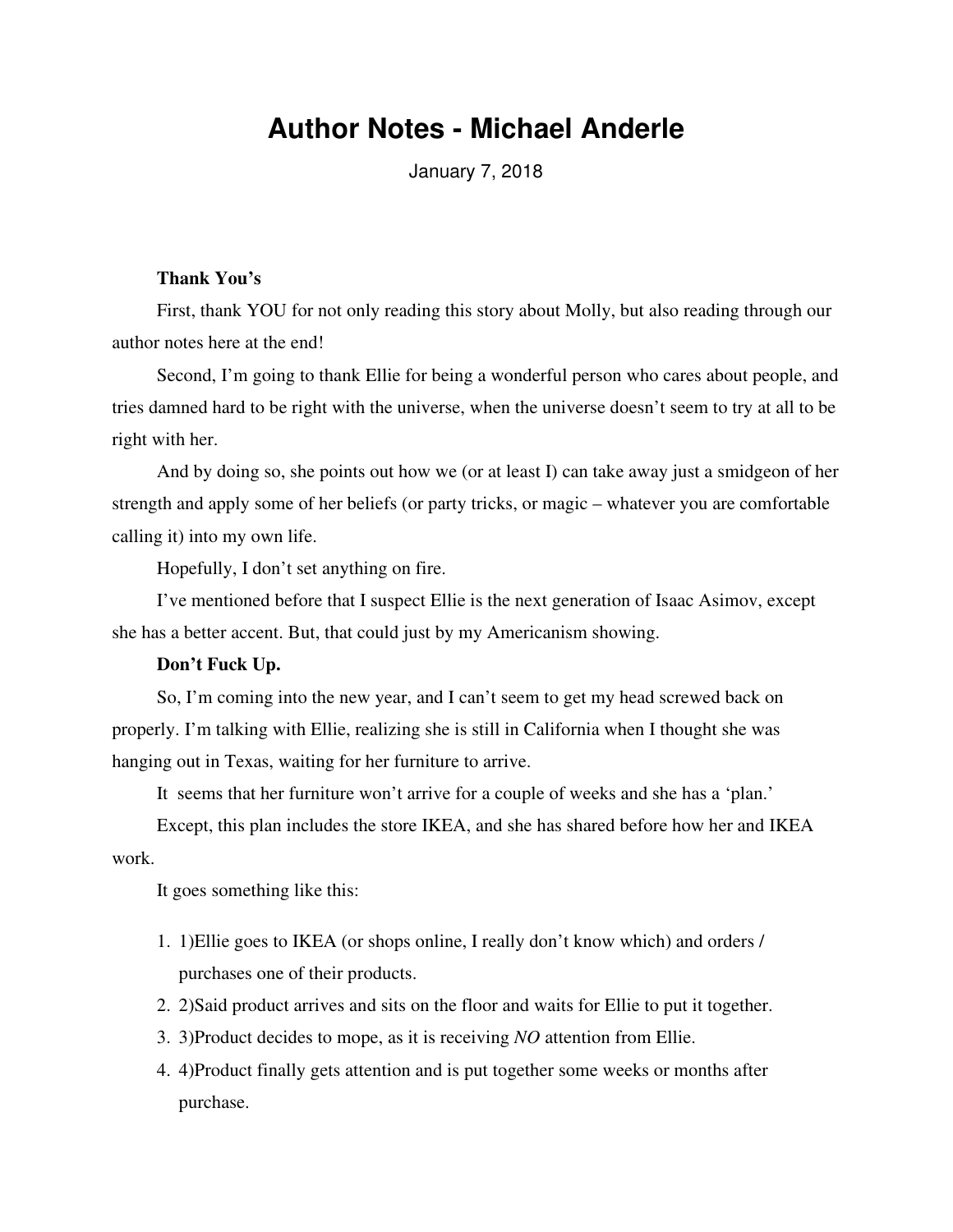# **Author Notes - Michael Anderle**

January 7, 2018

## **Thank You's**

First, thank YOU for not only reading this story about Molly, but also reading through our author notes here at the end!

Second, I'm going to thank Ellie for being a wonderful person who cares about people, and tries damned hard to be right with the universe, when the universe doesn't seem to try at all to be right with her.

And by doing so, she points out how we (or at least I) can take away just a smidgeon of her strength and apply some of her beliefs (or party tricks, or magic – whatever you are comfortable calling it) into my own life.

Hopefully, I don't set anything on fire.

I've mentioned before that I suspect Ellie is the next generation of Isaac Asimov, except she has a better accent. But, that could just by my Americanism showing.

### **Don't Fuck Up.**

So, I'm coming into the new year, and I can't seem to get my head screwed back on properly. I'm talking with Ellie, realizing she is still in California when I thought she was hanging out in Texas, waiting for her furniture to arrive.

It seems that her furniture won't arrive for a couple of weeks and she has a 'plan.'

Except, this plan includes the store IKEA, and she has shared before how her and IKEA work.

It goes something like this:

- 1. 1)Ellie goes to IKEA (or shops online, I really don't know which) and orders / purchases one of their products.
- 2. 2)Said product arrives and sits on the floor and waits for Ellie to put it together.
- 3. 3)Product decides to mope, as it is receiving *NO* attention from Ellie.
- 4. 4)Product finally gets attention and is put together some weeks or months after purchase.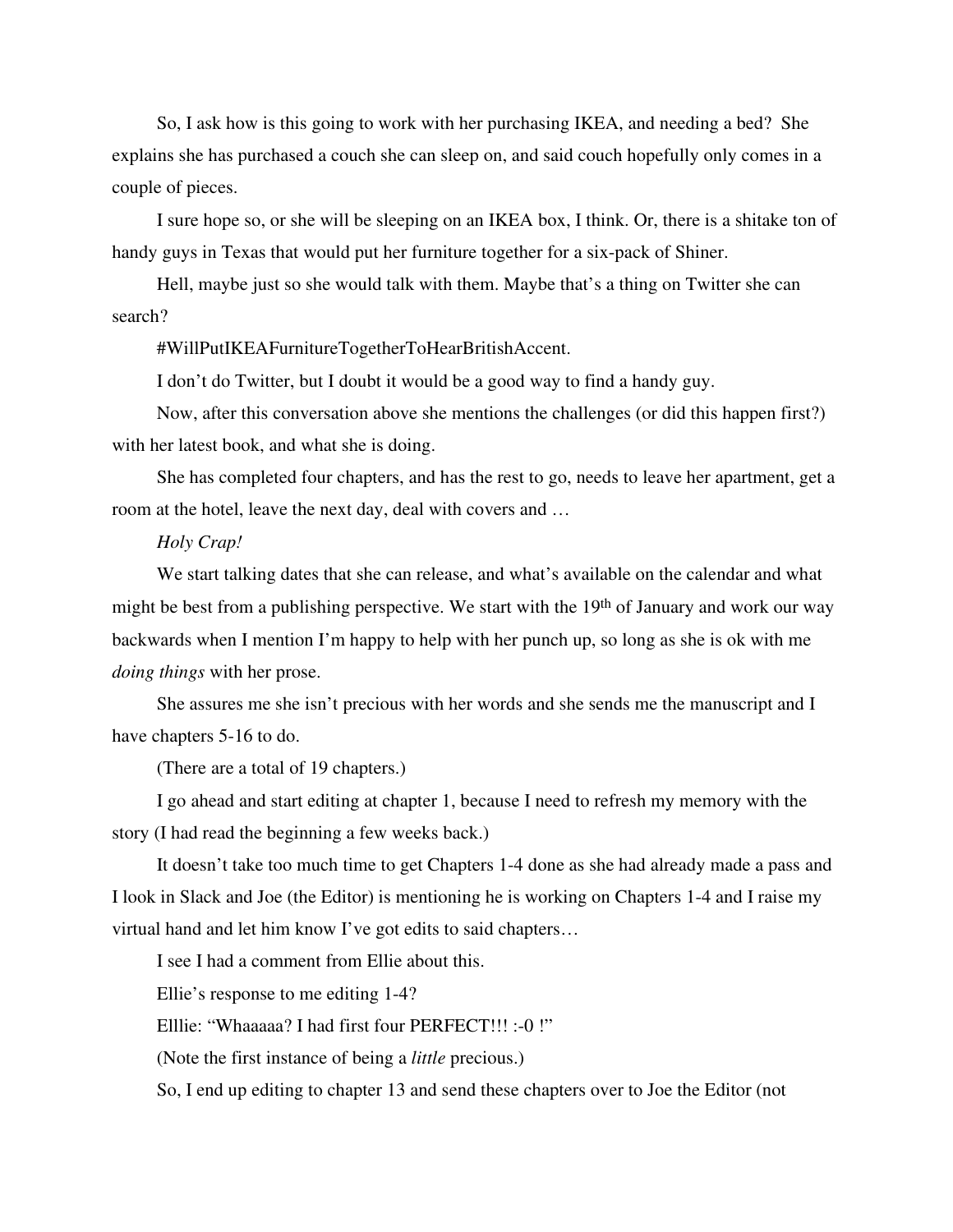So, I ask how is this going to work with her purchasing IKEA, and needing a bed? She explains she has purchased a couch she can sleep on, and said couch hopefully only comes in a couple of pieces.

I sure hope so, or she will be sleeping on an IKEA box, I think. Or, there is a shitake ton of handy guys in Texas that would put her furniture together for a six-pack of Shiner.

Hell, maybe just so she would talk with them. Maybe that's a thing on Twitter she can search?

#WillPutIKEAFurnitureTogetherToHearBritishAccent.

I don't do Twitter, but I doubt it would be a good way to find a handy guy.

Now, after this conversation above she mentions the challenges (or did this happen first?) with her latest book, and what she is doing.

She has completed four chapters, and has the rest to go, needs to leave her apartment, get a room at the hotel, leave the next day, deal with covers and …

## *Holy Crap!*

We start talking dates that she can release, and what's available on the calendar and what might be best from a publishing perspective. We start with the  $19<sup>th</sup>$  of January and work our way backwards when I mention I'm happy to help with her punch up, so long as she is ok with me *doing things* with her prose.

She assures me she isn't precious with her words and she sends me the manuscript and I have chapters 5-16 to do.

(There are a total of 19 chapters.)

I go ahead and start editing at chapter 1, because I need to refresh my memory with the story (I had read the beginning a few weeks back.)

It doesn't take too much time to get Chapters 1-4 done as she had already made a pass and I look in Slack and Joe (the Editor) is mentioning he is working on Chapters 1-4 and I raise my virtual hand and let him know I've got edits to said chapters…

I see I had a comment from Ellie about this.

Ellie's response to me editing 1-4?

Elllie: "Whaaaaa? I had first four PERFECT!!! :-0 !"

(Note the first instance of being a *little* precious.)

So, I end up editing to chapter 13 and send these chapters over to Joe the Editor (not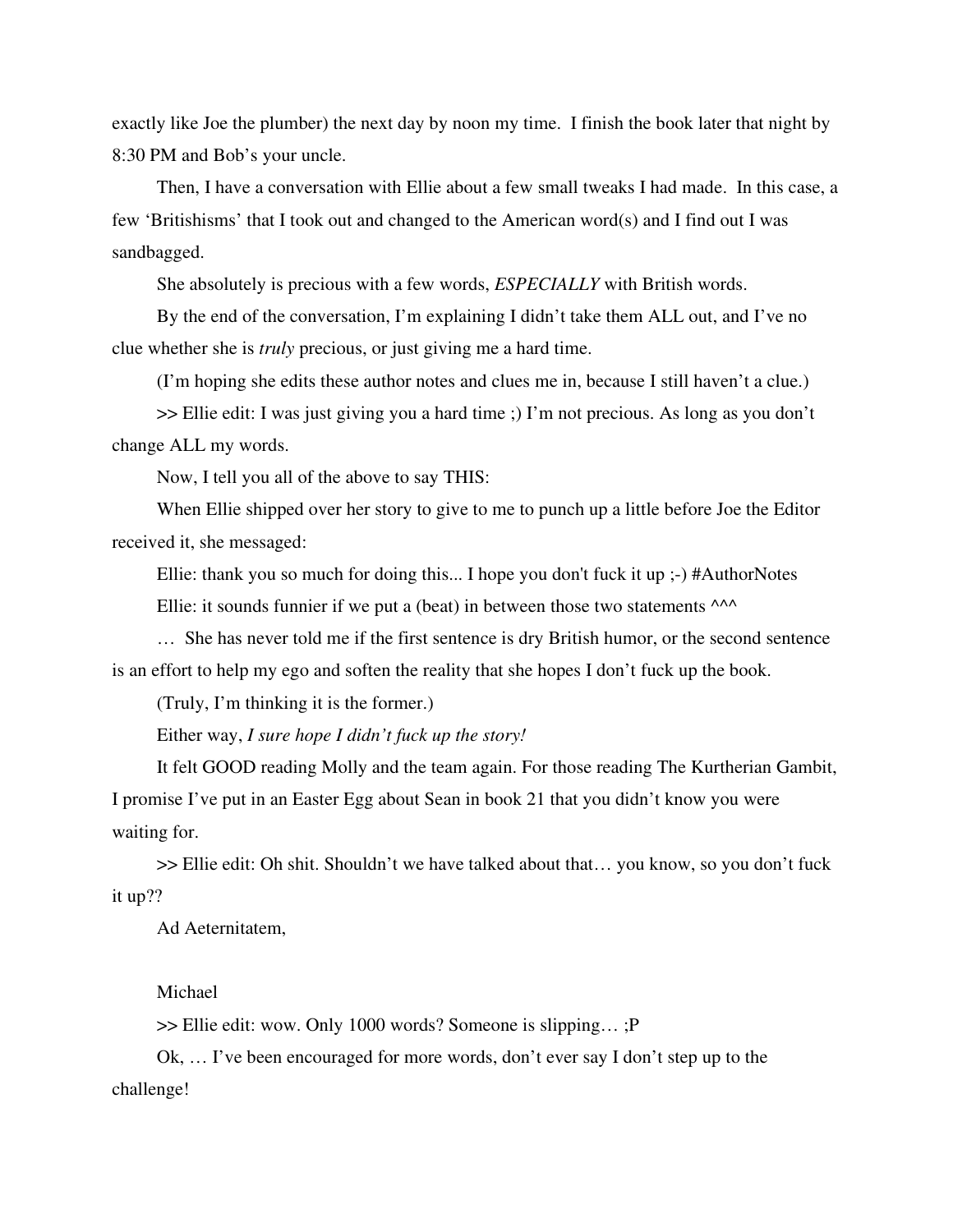exactly like Joe the plumber) the next day by noon my time. I finish the book later that night by 8:30 PM and Bob's your uncle.

Then, I have a conversation with Ellie about a few small tweaks I had made. In this case, a few 'Britishisms' that I took out and changed to the American word(s) and I find out I was sandbagged.

She absolutely is precious with a few words, *ESPECIALLY* with British words.

By the end of the conversation, I'm explaining I didn't take them ALL out, and I've no clue whether she is *truly* precious, or just giving me a hard time.

(I'm hoping she edits these author notes and clues me in, because I still haven't a clue.)

>> Ellie edit: I was just giving you a hard time ;) I'm not precious. As long as you don't change ALL my words.

Now, I tell you all of the above to say THIS:

When Ellie shipped over her story to give to me to punch up a little before Joe the Editor received it, she messaged:

Ellie: thank you so much for doing this... I hope you don't fuck it up ;-) #AuthorNotes

Ellie: it sounds funnier if we put a (beat) in between those two statements  $\wedge\wedge\wedge$ 

… She has never told me if the first sentence is dry British humor, or the second sentence is an effort to help my ego and soften the reality that she hopes I don't fuck up the book.

(Truly, I'm thinking it is the former.)

Either way, *I sure hope I didn't fuck up the story!*

It felt GOOD reading Molly and the team again. For those reading The Kurtherian Gambit, I promise I've put in an Easter Egg about Sean in book 21 that you didn't know you were waiting for.

>> Ellie edit: Oh shit. Shouldn't we have talked about that… you know, so you don't fuck it up??

Ad Aeternitatem,

Michael

>> Ellie edit: wow. Only 1000 words? Someone is slipping… ;P

Ok, … I've been encouraged for more words, don't ever say I don't step up to the challenge!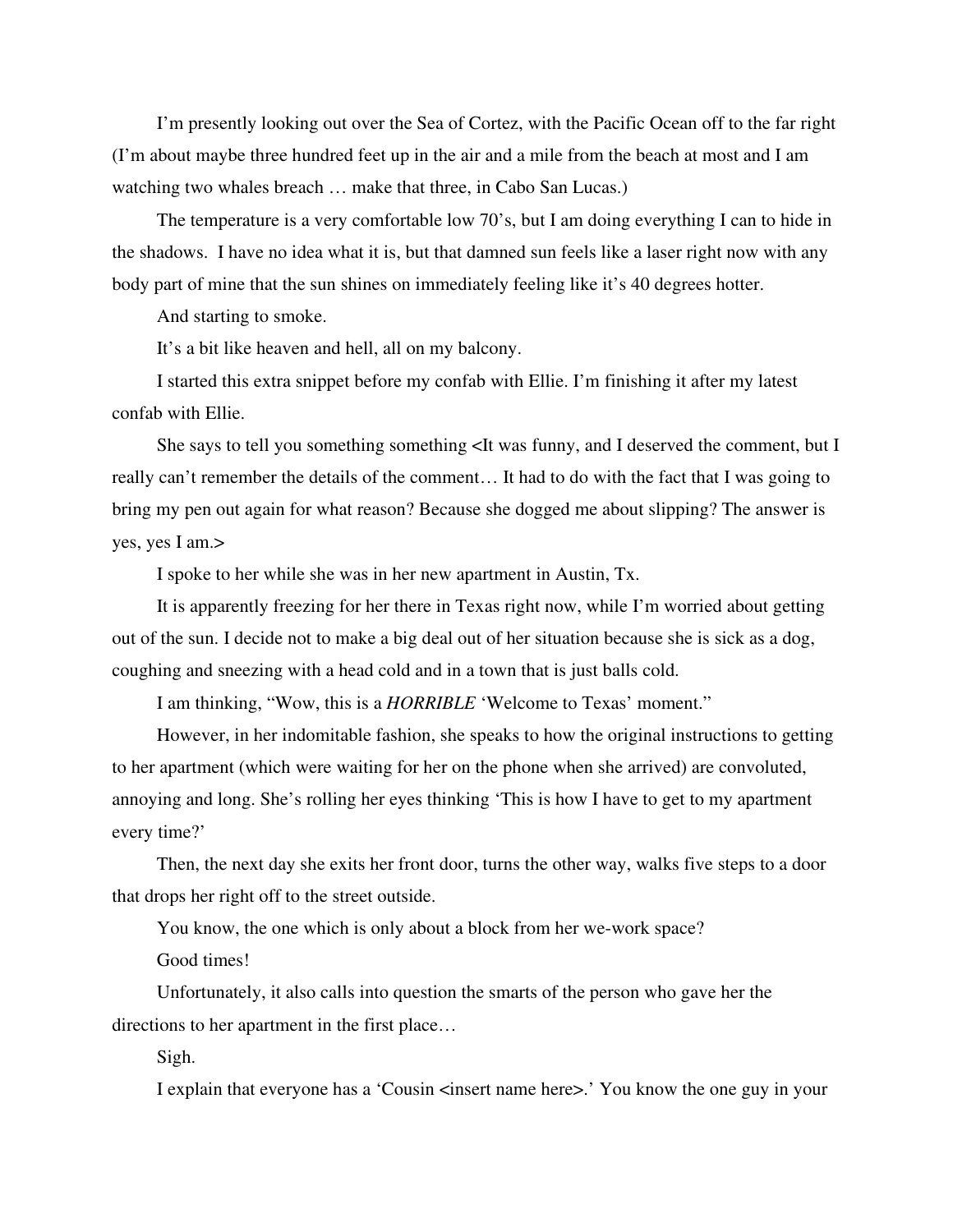I'm presently looking out over the Sea of Cortez, with the Pacific Ocean off to the far right (I'm about maybe three hundred feet up in the air and a mile from the beach at most and I am watching two whales breach … make that three, in Cabo San Lucas.)

The temperature is a very comfortable low 70's, but I am doing everything I can to hide in the shadows. I have no idea what it is, but that damned sun feels like a laser right now with any body part of mine that the sun shines on immediately feeling like it's 40 degrees hotter.

And starting to smoke.

It's a bit like heaven and hell, all on my balcony.

I started this extra snippet before my confab with Ellie. I'm finishing it after my latest confab with Ellie.

She says to tell you something something  $\lt$  It was funny, and I deserved the comment, but I really can't remember the details of the comment… It had to do with the fact that I was going to bring my pen out again for what reason? Because she dogged me about slipping? The answer is yes, yes I am.>

I spoke to her while she was in her new apartment in Austin, Tx.

It is apparently freezing for her there in Texas right now, while I'm worried about getting out of the sun. I decide not to make a big deal out of her situation because she is sick as a dog, coughing and sneezing with a head cold and in a town that is just balls cold.

I am thinking, "Wow, this is a *HORRIBLE* 'Welcome to Texas' moment."

However, in her indomitable fashion, she speaks to how the original instructions to getting to her apartment (which were waiting for her on the phone when she arrived) are convoluted, annoying and long. She's rolling her eyes thinking 'This is how I have to get to my apartment every time?'

Then, the next day she exits her front door, turns the other way, walks five steps to a door that drops her right off to the street outside.

You know, the one which is only about a block from her we-work space?

Good times!

Unfortunately, it also calls into question the smarts of the person who gave her the directions to her apartment in the first place…

Sigh.

I explain that everyone has a 'Cousin  $\leq$  insert name here $\geq$ .' You know the one guy in your